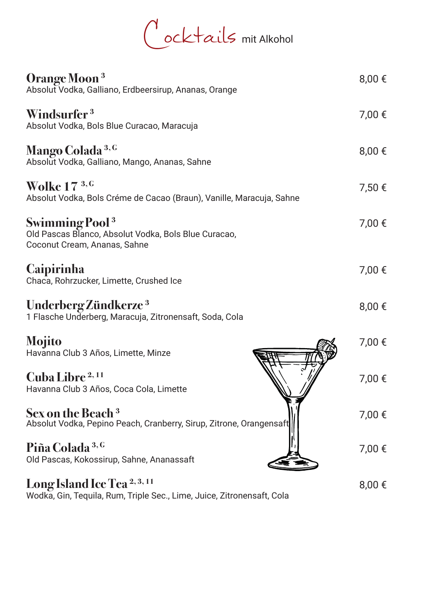Cocktails mit Alkohol

| Orange Moon <sup>3</sup><br>Absolut Vodka, Galliano, Erdbeersirup, Ananas, Orange                                         | 8,00 €     |
|---------------------------------------------------------------------------------------------------------------------------|------------|
| Windsurfer <sup>3</sup><br>Absolut Vodka, Bols Blue Curacao, Maracuja                                                     | 7,00 €     |
| Mango Colada <sup>3, G</sup><br>Absolut Vodka, Galliano, Mango, Ananas, Sahne                                             | 8,00 €     |
| Wolke $173,6$<br>Absolut Vodka, Bols Créme de Cacao (Braun), Vanille, Maracuja, Sahne                                     | 7,50 €     |
| <b>Swimming Pool</b> <sup>3</sup><br>Old Pascas Blanco, Absolut Vodka, Bols Blue Curacao,<br>Coconut Cream, Ananas, Sahne | 7,00 €     |
| <b>Caipirinha</b><br>Chaca, Rohrzucker, Limette, Crushed Ice                                                              | 7,00 €     |
| Underberg Zündkerze <sup>3</sup><br>1 Flasche Underberg, Maracuja, Zitronensaft, Soda, Cola                               | 8,00 €     |
| <b>Mojito</b><br>Havanna Club 3 Años, Limette, Minze                                                                      | 7,00 €     |
| <b>Cuba Libre</b> <sup>2,11</sup><br>Havanna Club 3 Años, Coca Cola, Limette                                              | 7,00 €     |
| Sex on the Beach <sup>3</sup><br>Absolut Vodka, Pepino Peach, Cranberry, Sirup, Zitrone, Orangensaft                      | 7,00 €     |
| Piña Colada <sup>3, G</sup><br>Old Pascas, Kokossirup, Sahne, Ananassaft                                                  | 7,00 €     |
| Long Island Ice Tea <sup>2,3,11</sup><br>Wodka, Gin, Tequila, Rum, Triple Sec., Lime, Juice, Zitronensaft, Cola           | $8,00 \in$ |